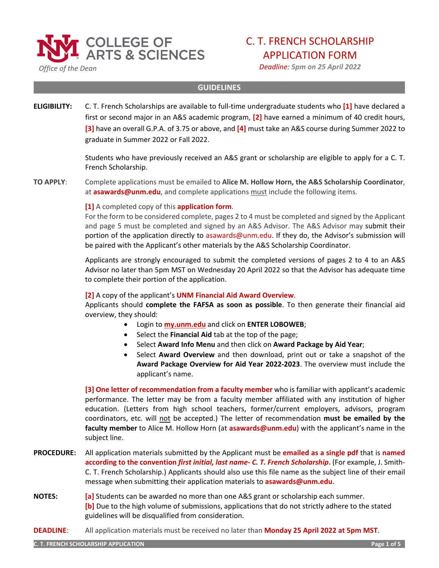

 *Office of the Dean*

# C. T. FRENCH SCHOLARSHIP

APPLICATION FORM

*Deadline: 5pm on 25 April 2022*

### **GUIDELINES**

**ELIGIBILITY:** C. T. French Scholarships are available to full-time undergraduate students who **[1]** have declared a first or second major in an A&S academic program, **[2]** have earned a minimum of 40 credit hours, **[3]** have an overall G.P.A. of 3.75 or above, and **[4]** must take an A&S course during Summer 2022 to graduate in Summer 2022 or Fall 2022.

> Students who have previously received an A&S grant or scholarship are eligible to apply for a C. T. French Scholarship.

**TO APPLY**: Complete applications must be emailed to **Alice M. Hollow Horn, the A&S Scholarship Coordinator**, at **asawards@unm.edu**, and complete applications must include the following items.

**[1]** A completed copy of this **application form**.

For the form to be considered complete, pages 2 to 4 must be completed and signed by the Applicant and page 5 must be completed and signed by an A&S Advisor. The A&S Advisor may submit their portion of the application directly to asawards@unm.edu. If they do, the Advisor's submission will be paired with the Applicant's other materials by the A&S Scholarship Coordinator.

Applicants are strongly encouraged to submit the completed versions of pages 2 to 4 to an A&S Advisor no later than 5pm MST on Wednesday 20 April 2022 so that the Advisor has adequate time to complete their portion of the application.

# **[2]** A copy of the applicant's **UNM Financial Aid Award Overview**.

Applicants should **complete the FAFSA as soon as possible**. To then generate their financial aid overview, they should:

- Login to **[my.unm.edu](http://my.unm.edu/home)** and click on **ENTER LOBOWEB**;
- Select the **Financial Aid** tab at the top of the page;
- Select **Award Info Menu** and then click on **Award Package by Aid Year**;
- Select **Award Overview** and then download, print out or take a snapshot of the **Award Package Overview for Aid Year 2022-2023**. The overview must include the applicant's name.

**[3] One letter of recommendation from a faculty member** who is familiar with applicant's academic performance. The letter may be from a faculty member affiliated with any institution of higher education. (Letters from high school teachers, former/current employers, advisors, program coordinators, etc. will not be accepted.) The letter of recommendation **must be emailed by the faculty member** to Alice M. Hollow Horn (at **asawards@unm.edu**) with the applicant's name in the subject line.

- **PROCEDURE:** All application materials submitted by the Applicant must be **emailed as a single pdf** that is **named according to the convention** *first initial, last name- C. T. French Scholarship***.** (For example, J. Smith-C. T. French Scholarship.) Applicants should also use this file name as the subject line of their email message when submitting their application materials to **asawards@unm.edu**.
- **NOTES: [a]** Students can be awarded no more than one A&S grant or scholarship each summer. **[b]** Due to the high volume of submissions, applications that do not strictly adhere to the stated guidelines will be disqualified from consideration.
- **DEADLINE**: All application materials must be received no later than **Monday 25 April 2022 at 5pm MST**.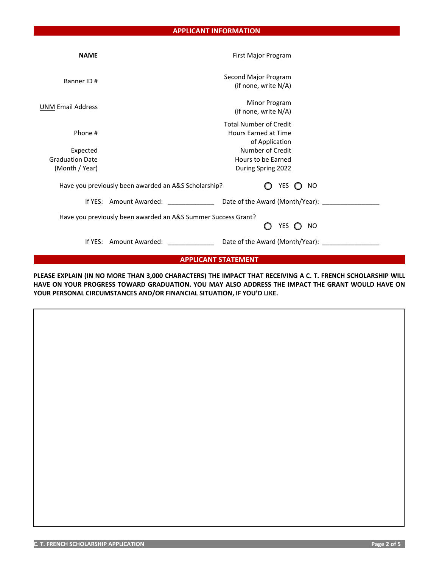| <b>NAME</b>                | First Major Program                                                            |                                          |  |  |
|----------------------------|--------------------------------------------------------------------------------|------------------------------------------|--|--|
| Banner ID#                 | Second Major Program<br>(if none, write N/A)                                   |                                          |  |  |
| <b>UNM Email Address</b>   | Minor Program<br>(if none, write N/A)                                          |                                          |  |  |
| Phone #                    | <b>Total Number of Credit</b><br><b>Hours Earned at Time</b><br>of Application |                                          |  |  |
| Expected                   | Number of Credit                                                               |                                          |  |  |
| <b>Graduation Date</b>     | Hours to be Earned                                                             |                                          |  |  |
| (Month / Year)             | During Spring 2022                                                             |                                          |  |  |
|                            | Have you previously been awarded an A&S Scholarship?                           | <b>YES</b><br><b>NO</b><br>$\mathcal{L}$ |  |  |
|                            |                                                                                |                                          |  |  |
|                            | Have you previously been awarded an A&S Summer Success Grant?<br>∩             | YES $\bigcirc$<br><b>NO</b>              |  |  |
|                            |                                                                                |                                          |  |  |
| <b>APPLICANT STATEMENT</b> |                                                                                |                                          |  |  |

**PLEASE EXPLAIN (IN NO MORE THAN 3,000 CHARACTERS) THE IMPACT THAT RECEIVING A C. T. FRENCH SCHOLARSHIP WILL HAVE ON YOUR PROGRESS TOWARD GRADUATION. YOU MAY ALSO ADDRESS THE IMPACT THE GRANT WOULD HAVE ON YOUR PERSONAL CIRCUMSTANCES AND/OR FINANCIAL SITUATION, IF YOU'D LIKE.**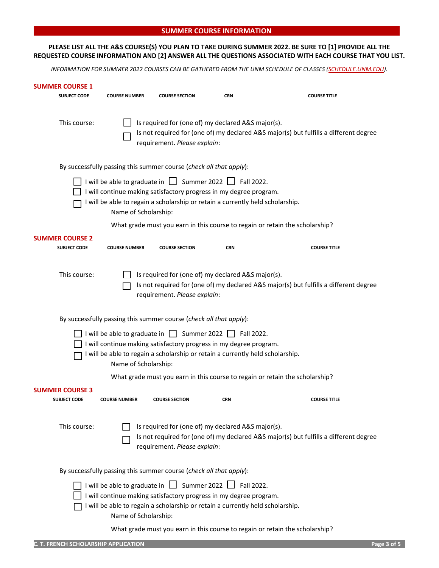#### **SUMMER COURSE INFORMATION**

## **PLEASE LIST ALL THE A&S COURSE(S) YOU PLAN TO TAKE DURING SUMMER 2022. BE SURE TO [1] PROVIDE ALL THE REQUESTED COURSE INFORMATION AND [2] ANSWER ALL THE QUESTIONS ASSOCIATED WITH EACH COURSE THAT YOU LIST.**

*INFORMATION FOR SUMMER 2022 COURSES CAN BE GATHERED FROM THE UNM SCHEDULE OF CLASSES [\(SCHEDULE.UNM.EDU\)](http://schedule.unm.edu/).*

| SUMMER COURSE 1<br><b>SUBJECT CODE</b>        | <b>COURSE NUMBER</b> | <b>COURSE SECTION</b>                                                                                                                                                                                                      | <b>CRN</b> | <b>COURSE TITLE</b>                                                                   |
|-----------------------------------------------|----------------------|----------------------------------------------------------------------------------------------------------------------------------------------------------------------------------------------------------------------------|------------|---------------------------------------------------------------------------------------|
| This course:                                  |                      | Is required for (one of) my declared A&S major(s).<br>requirement. Please explain:                                                                                                                                         |            | Is not required for (one of) my declared A&S major(s) but fulfills a different degree |
|                                               |                      | By successfully passing this summer course (check all that apply):                                                                                                                                                         |            |                                                                                       |
|                                               | Name of Scholarship: | I will be able to graduate in $\Box$ Summer 2022 $\Box$ Fall 2022.<br>I will continue making satisfactory progress in my degree program.<br>I will be able to regain a scholarship or retain a currently held scholarship. |            |                                                                                       |
|                                               |                      |                                                                                                                                                                                                                            |            | What grade must you earn in this course to regain or retain the scholarship?          |
| <b>SUMMER COURSE 2</b><br><b>SUBJECT CODE</b> | <b>COURSE NUMBER</b> | <b>COURSE SECTION</b>                                                                                                                                                                                                      | <b>CRN</b> | <b>COURSE TITLE</b>                                                                   |
| This course:                                  |                      | Is required for (one of) my declared A&S major(s).<br>requirement. Please explain:                                                                                                                                         |            | Is not required for (one of) my declared A&S major(s) but fulfills a different degree |
|                                               |                      | By successfully passing this summer course (check all that apply):                                                                                                                                                         |            |                                                                                       |
|                                               | Name of Scholarship: | I will be able to graduate in Summer 2022 Fall 2022.<br>I will continue making satisfactory progress in my degree program.<br>I will be able to regain a scholarship or retain a currently held scholarship.               |            |                                                                                       |
|                                               |                      |                                                                                                                                                                                                                            |            | What grade must you earn in this course to regain or retain the scholarship?          |
| <b>SUMMER COURSE 3</b><br><b>SUBJECT CODE</b> | <b>COURSE NUMBER</b> | <b>COURSE SECTION</b>                                                                                                                                                                                                      | <b>CRN</b> | <b>COURSE TITLE</b>                                                                   |
| This course:                                  |                      | Is required for (one of) my declared A&S major(s).<br>requirement. Please explain:                                                                                                                                         |            | Is not required for (one of) my declared A&S major(s) but fulfills a different degree |
|                                               |                      | By successfully passing this summer course (check all that apply):                                                                                                                                                         |            |                                                                                       |
|                                               | Name of Scholarship: | I will be able to graduate in $\Box$ Summer 2022 $\Box$ Fall 2022.<br>I will continue making satisfactory progress in my degree program.<br>I will be able to regain a scholarship or retain a currently held scholarship. |            |                                                                                       |
|                                               |                      |                                                                                                                                                                                                                            |            | What grade must you earn in this course to regain or retain the scholarship?          |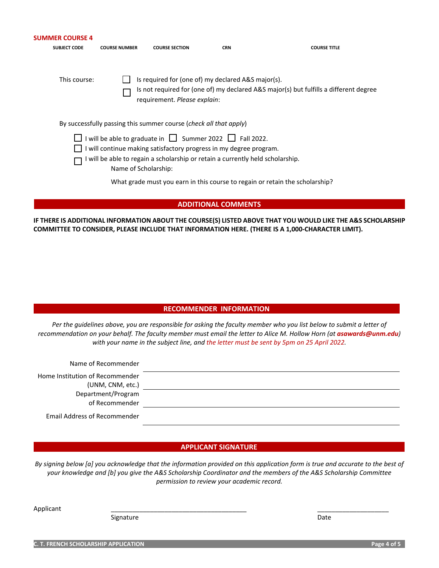| <b>SUMMER COURSE 4</b><br><b>SUBJECT CODE</b> | <b>COURSE NUMBER</b> | <b>COURSE SECTION</b>                                                                                                                                                                                                      | <b>CRN</b> | <b>COURSE TITLE</b>                                                                   |
|-----------------------------------------------|----------------------|----------------------------------------------------------------------------------------------------------------------------------------------------------------------------------------------------------------------------|------------|---------------------------------------------------------------------------------------|
| This course:                                  |                      | Is required for (one of) my declared A&S major(s).<br>requirement. Please explain:                                                                                                                                         |            | Is not required for (one of) my declared A&S major(s) but fulfills a different degree |
|                                               |                      | By successfully passing this summer course (check all that apply)                                                                                                                                                          |            |                                                                                       |
|                                               | Name of Scholarship: | I will be able to graduate in $\Box$ Summer 2022 $\Box$ Fall 2022.<br>I will continue making satisfactory progress in my degree program.<br>I will be able to regain a scholarship or retain a currently held scholarship. |            |                                                                                       |
|                                               |                      |                                                                                                                                                                                                                            |            | What grade must you earn in this course to regain or retain the scholarship?          |

**IF THERE IS ADDITIONAL INFORMATION ABOUT THE COURSE(S) LISTED ABOVE THAT YOU WOULD LIKE THE A&S SCHOLARSHIP COMMITTEE TO CONSIDER, PLEASE INCLUDE THAT INFORMATION HERE. (THERE IS A 1,000-CHARACTER LIMIT).** 

**ADDITIONAL COMMENTS**

# **RECOMMENDER INFORMATION**

*Per the guidelines above, you are responsible for asking the faculty member who you list below to submit a letter of recommendation on your behalf. The faculty member must email the letter to Alice M. Hollow Horn (at <i>asawards@unm.edu*) *with your name in the subject line, and the letter must be sent by 5pm on 25 April 2022.* 

| Name of Recommender                 |  |
|-------------------------------------|--|
| Home Institution of Recommender     |  |
| (UNM, CNM, etc.)                    |  |
| Department/Program                  |  |
| of Recommender                      |  |
| <b>Email Address of Recommender</b> |  |

# **APPLICANT SIGNATURE**

*By signing below [a] you acknowledge that the information provided on this application form is true and accurate to the best of your knowledge and [b] you give the A&S Scholarship Coordinator and the members of the A&S Scholarship Committee permission to review your academic record.* 

Applicant \_\_\_\_\_\_\_\_\_\_\_\_\_\_\_\_\_\_\_\_\_\_\_\_\_\_\_\_\_\_\_\_\_\_\_\_\_\_ \_\_\_\_\_\_\_\_\_\_\_\_\_\_\_\_\_\_\_\_

Signature Date